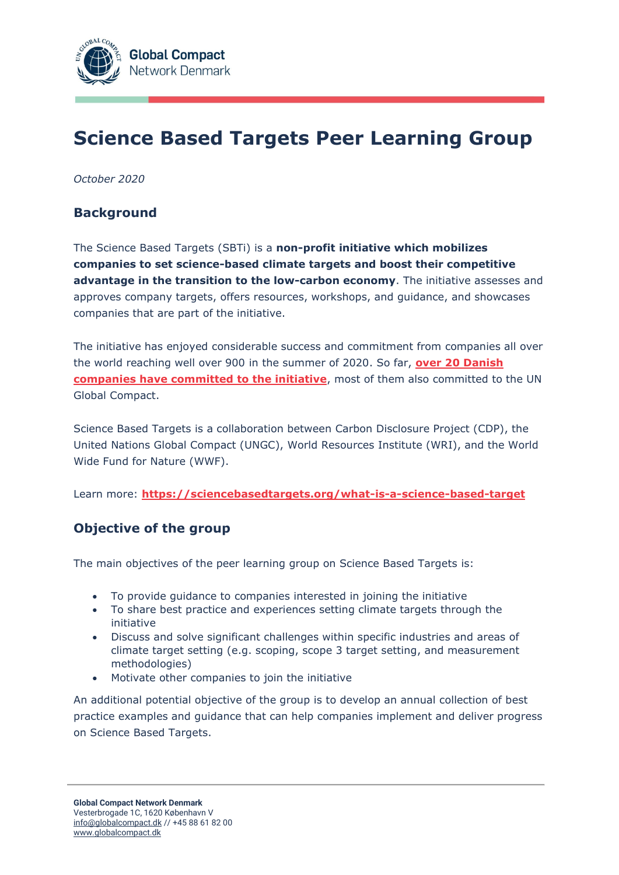

# **Science Based Targets Peer Learning Group**

*October 2020*

# **Background**

The Science Based Targets (SBTi) is a **non-profit initiative which mobilizes companies to set science-based climate targets and boost their competitive advantage in the transition to the low-carbon economy**. The initiative assesses and approves company targets, offers resources, workshops, and guidance, and showcases companies that are part of the initiative.

The initiative has enjoyed considerable success and commitment from companies all over the world reaching well over 900 in the summer of 2020. So far, **[over 20 Danish](https://sciencebasedtargets.org/companies-taking-action/)  [companies have committed to the initiative](https://sciencebasedtargets.org/companies-taking-action/)**, most of them also committed to the UN Global Compact.

Science Based Targets is a collaboration between Carbon Disclosure Project (CDP), the United Nations Global Compact (UNGC), World Resources Institute (WRI), and the World Wide Fund for Nature (WWF).

Learn more: **<https://sciencebasedtargets.org/what-is-a-science-based-target>**

# **Objective of the group**

The main objectives of the peer learning group on Science Based Targets is:

- To provide guidance to companies interested in joining the initiative
- To share best practice and experiences setting climate targets through the initiative
- Discuss and solve significant challenges within specific industries and areas of climate target setting (e.g. scoping, scope 3 target setting, and measurement methodologies)
- Motivate other companies to join the initiative

An additional potential objective of the group is to develop an annual collection of best practice examples and guidance that can help companies implement and deliver progress on Science Based Targets.